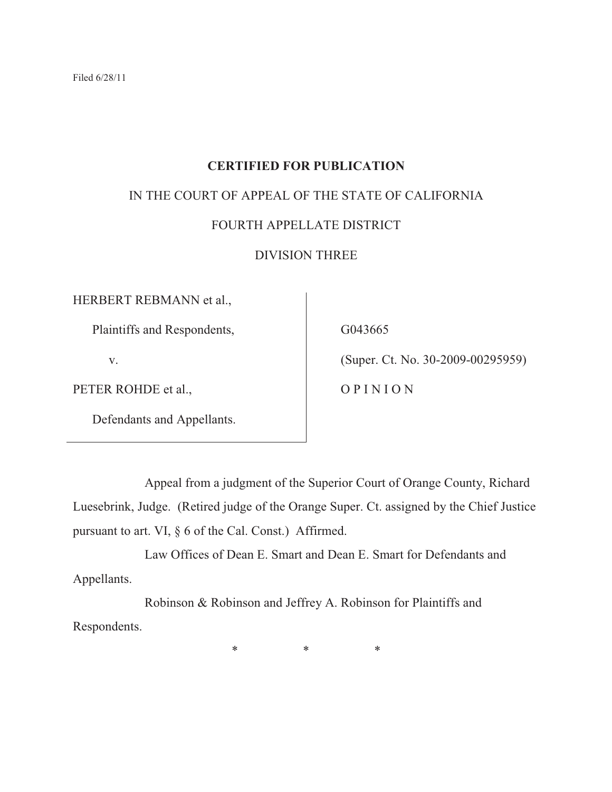### **CERTIFIED FOR PUBLICATION**

# IN THE COURT OF APPEAL OF THE STATE OF CALIFORNIA

### FOURTH APPELLATE DISTRICT

### DIVISION THREE

HERBERT REBMANN et al.,

Plaintiffs and Respondents,

v.

PETER ROHDE et al.,

Defendants and Appellants.

G043665

(Super. Ct. No. 30-2009-00295959)

O P I N I O N

 Appeal from a judgment of the Superior Court of Orange County, Richard Luesebrink, Judge. (Retired judge of the Orange Super. Ct. assigned by the Chief Justice pursuant to art. VI, § 6 of the Cal. Const.) Affirmed.

 Law Offices of Dean E. Smart and Dean E. Smart for Defendants and Appellants.

 Robinson & Robinson and Jeffrey A. Robinson for Plaintiffs and Respondents.

 $*$  \*  $*$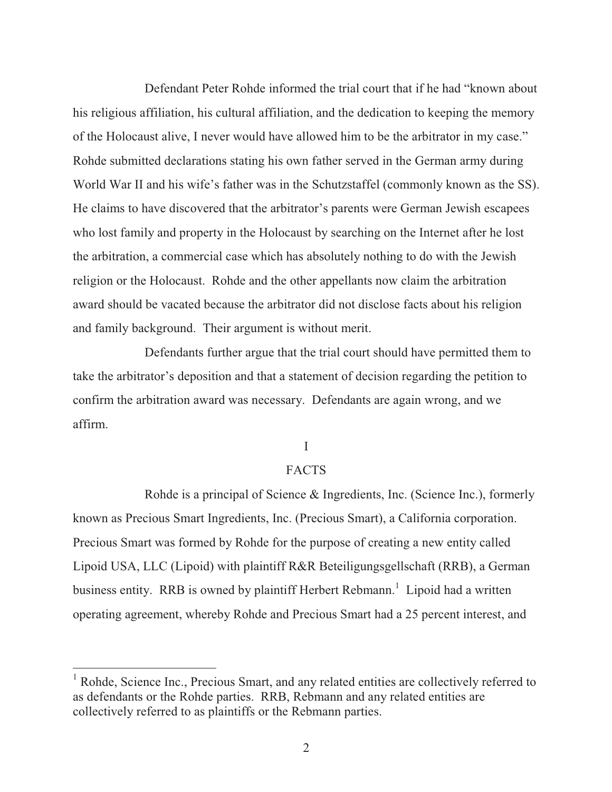Defendant Peter Rohde informed the trial court that if he had "known about his religious affiliation, his cultural affiliation, and the dedication to keeping the memory of the Holocaust alive, I never would have allowed him to be the arbitrator in my case." Rohde submitted declarations stating his own father served in the German army during World War II and his wife's father was in the Schutzstaffel (commonly known as the SS). He claims to have discovered that the arbitrator's parents were German Jewish escapees who lost family and property in the Holocaust by searching on the Internet after he lost the arbitration, a commercial case which has absolutely nothing to do with the Jewish religion or the Holocaust. Rohde and the other appellants now claim the arbitration award should be vacated because the arbitrator did not disclose facts about his religion and family background. Their argument is without merit.

 Defendants further argue that the trial court should have permitted them to take the arbitrator's deposition and that a statement of decision regarding the petition to confirm the arbitration award was necessary. Defendants are again wrong, and we affirm.

### I

#### FACTS

 Rohde is a principal of Science & Ingredients, Inc. (Science Inc.), formerly known as Precious Smart Ingredients, Inc. (Precious Smart), a California corporation. Precious Smart was formed by Rohde for the purpose of creating a new entity called Lipoid USA, LLC (Lipoid) with plaintiff R&R Beteiligungsgellschaft (RRB), a German business entity. RRB is owned by plaintiff Herbert Rebmann.<sup>1</sup> Lipoid had a written operating agreement, whereby Rohde and Precious Smart had a 25 percent interest, and

<sup>&</sup>lt;sup>1</sup> Rohde, Science Inc., Precious Smart, and any related entities are collectively referred to as defendants or the Rohde parties. RRB, Rebmann and any related entities are collectively referred to as plaintiffs or the Rebmann parties.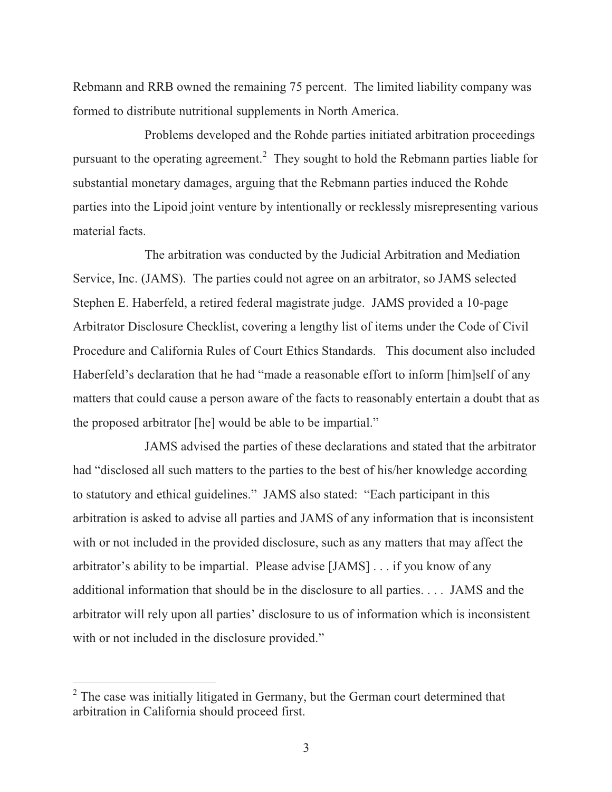Rebmann and RRB owned the remaining 75 percent. The limited liability company was formed to distribute nutritional supplements in North America.

 Problems developed and the Rohde parties initiated arbitration proceedings pursuant to the operating agreement.<sup>2</sup> They sought to hold the Rebmann parties liable for substantial monetary damages, arguing that the Rebmann parties induced the Rohde parties into the Lipoid joint venture by intentionally or recklessly misrepresenting various material facts.

 The arbitration was conducted by the Judicial Arbitration and Mediation Service, Inc. (JAMS). The parties could not agree on an arbitrator, so JAMS selected Stephen E. Haberfeld, a retired federal magistrate judge. JAMS provided a 10-page Arbitrator Disclosure Checklist, covering a lengthy list of items under the Code of Civil Procedure and California Rules of Court Ethics Standards. This document also included Haberfeld's declaration that he had "made a reasonable effort to inform [him]self of any matters that could cause a person aware of the facts to reasonably entertain a doubt that as the proposed arbitrator [he] would be able to be impartial."

 JAMS advised the parties of these declarations and stated that the arbitrator had "disclosed all such matters to the parties to the best of his/her knowledge according to statutory and ethical guidelines." JAMS also stated: "Each participant in this arbitration is asked to advise all parties and JAMS of any information that is inconsistent with or not included in the provided disclosure, such as any matters that may affect the arbitrator's ability to be impartial. Please advise [JAMS] . . . if you know of any additional information that should be in the disclosure to all parties. . . . JAMS and the arbitrator will rely upon all parties' disclosure to us of information which is inconsistent with or not included in the disclosure provided."

<sup>&</sup>lt;sup>2</sup> The case was initially litigated in Germany, but the German court determined that arbitration in California should proceed first.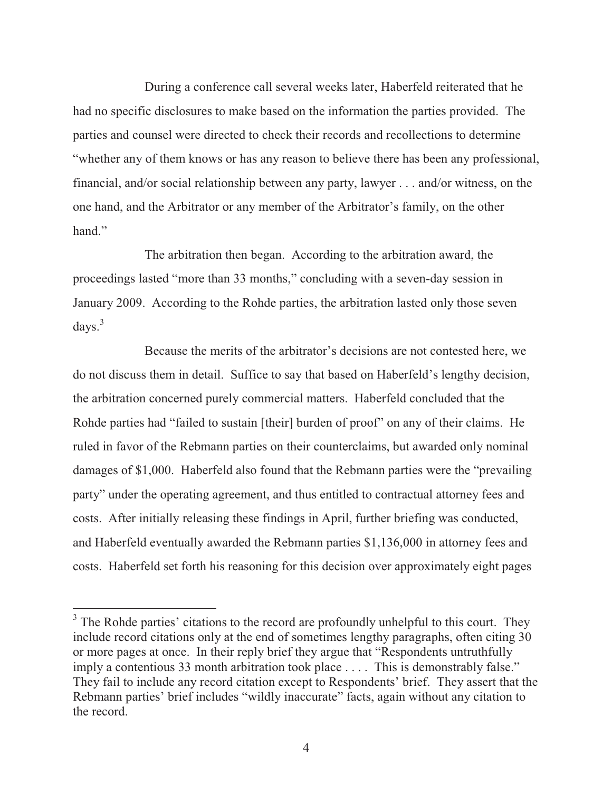During a conference call several weeks later, Haberfeld reiterated that he had no specific disclosures to make based on the information the parties provided. The parties and counsel were directed to check their records and recollections to determine "whether any of them knows or has any reason to believe there has been any professional, financial, and/or social relationship between any party, lawyer . . . and/or witness, on the one hand, and the Arbitrator or any member of the Arbitrator's family, on the other hand."

 The arbitration then began. According to the arbitration award, the proceedings lasted "more than 33 months," concluding with a seven-day session in January 2009. According to the Rohde parties, the arbitration lasted only those seven days.<sup>3</sup>

 Because the merits of the arbitrator's decisions are not contested here, we do not discuss them in detail. Suffice to say that based on Haberfeld's lengthy decision, the arbitration concerned purely commercial matters. Haberfeld concluded that the Rohde parties had "failed to sustain [their] burden of proof" on any of their claims. He ruled in favor of the Rebmann parties on their counterclaims, but awarded only nominal damages of \$1,000. Haberfeld also found that the Rebmann parties were the "prevailing party" under the operating agreement, and thus entitled to contractual attorney fees and costs. After initially releasing these findings in April, further briefing was conducted, and Haberfeld eventually awarded the Rebmann parties \$1,136,000 in attorney fees and costs. Haberfeld set forth his reasoning for this decision over approximately eight pages

<sup>&</sup>lt;sup>3</sup> The Rohde parties' citations to the record are profoundly unhelpful to this court. They include record citations only at the end of sometimes lengthy paragraphs, often citing 30 or more pages at once. In their reply brief they argue that "Respondents untruthfully imply a contentious 33 month arbitration took place . . . . This is demonstrably false." They fail to include any record citation except to Respondents' brief. They assert that the Rebmann parties' brief includes "wildly inaccurate" facts, again without any citation to the record.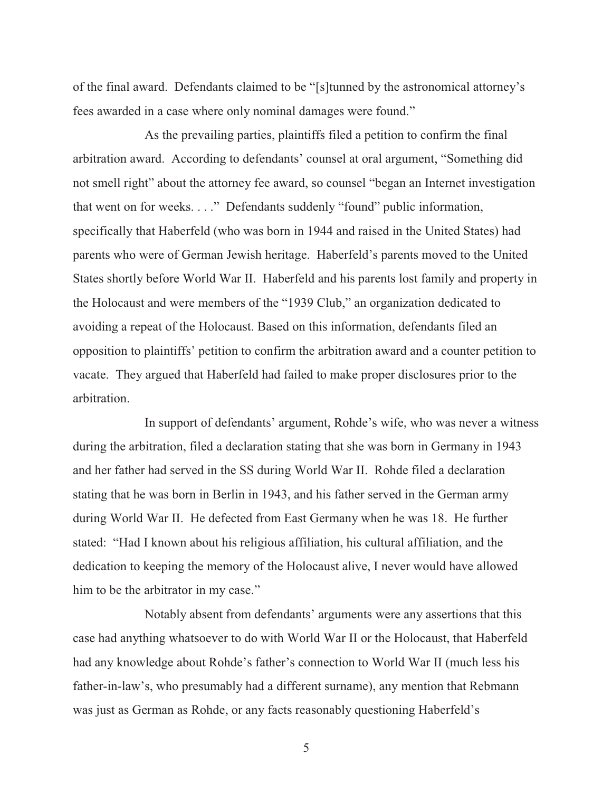of the final award. Defendants claimed to be "[s]tunned by the astronomical attorney's fees awarded in a case where only nominal damages were found."

 As the prevailing parties, plaintiffs filed a petition to confirm the final arbitration award. According to defendants' counsel at oral argument, "Something did not smell right" about the attorney fee award, so counsel "began an Internet investigation that went on for weeks. . . ." Defendants suddenly "found" public information, specifically that Haberfeld (who was born in 1944 and raised in the United States) had parents who were of German Jewish heritage. Haberfeld's parents moved to the United States shortly before World War II. Haberfeld and his parents lost family and property in the Holocaust and were members of the "1939 Club," an organization dedicated to avoiding a repeat of the Holocaust. Based on this information, defendants filed an opposition to plaintiffs' petition to confirm the arbitration award and a counter petition to vacate. They argued that Haberfeld had failed to make proper disclosures prior to the arbitration.

 In support of defendants' argument, Rohde's wife, who was never a witness during the arbitration, filed a declaration stating that she was born in Germany in 1943 and her father had served in the SS during World War II. Rohde filed a declaration stating that he was born in Berlin in 1943, and his father served in the German army during World War II. He defected from East Germany when he was 18. He further stated: "Had I known about his religious affiliation, his cultural affiliation, and the dedication to keeping the memory of the Holocaust alive, I never would have allowed him to be the arbitrator in my case."

 Notably absent from defendants' arguments were any assertions that this case had anything whatsoever to do with World War II or the Holocaust, that Haberfeld had any knowledge about Rohde's father's connection to World War II (much less his father-in-law's, who presumably had a different surname), any mention that Rebmann was just as German as Rohde, or any facts reasonably questioning Haberfeld's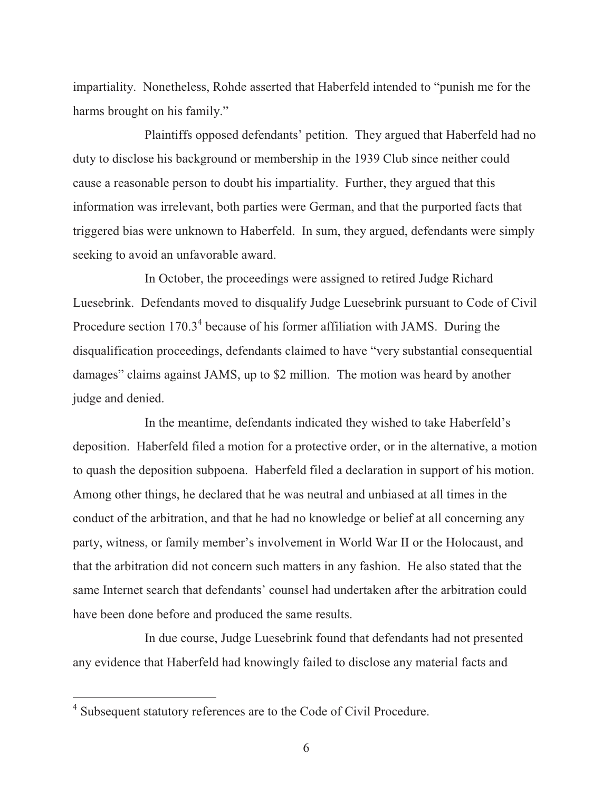impartiality. Nonetheless, Rohde asserted that Haberfeld intended to "punish me for the harms brought on his family."

 Plaintiffs opposed defendants' petition. They argued that Haberfeld had no duty to disclose his background or membership in the 1939 Club since neither could cause a reasonable person to doubt his impartiality. Further, they argued that this information was irrelevant, both parties were German, and that the purported facts that triggered bias were unknown to Haberfeld. In sum, they argued, defendants were simply seeking to avoid an unfavorable award.

 In October, the proceedings were assigned to retired Judge Richard Luesebrink. Defendants moved to disqualify Judge Luesebrink pursuant to Code of Civil Procedure section  $170.3<sup>4</sup>$  because of his former affiliation with JAMS. During the disqualification proceedings, defendants claimed to have "very substantial consequential damages" claims against JAMS, up to \$2 million. The motion was heard by another judge and denied.

 In the meantime, defendants indicated they wished to take Haberfeld's deposition. Haberfeld filed a motion for a protective order, or in the alternative, a motion to quash the deposition subpoena. Haberfeld filed a declaration in support of his motion. Among other things, he declared that he was neutral and unbiased at all times in the conduct of the arbitration, and that he had no knowledge or belief at all concerning any party, witness, or family member's involvement in World War II or the Holocaust, and that the arbitration did not concern such matters in any fashion. He also stated that the same Internet search that defendants' counsel had undertaken after the arbitration could have been done before and produced the same results.

 In due course, Judge Luesebrink found that defendants had not presented any evidence that Haberfeld had knowingly failed to disclose any material facts and

<sup>&</sup>lt;sup>4</sup> Subsequent statutory references are to the Code of Civil Procedure.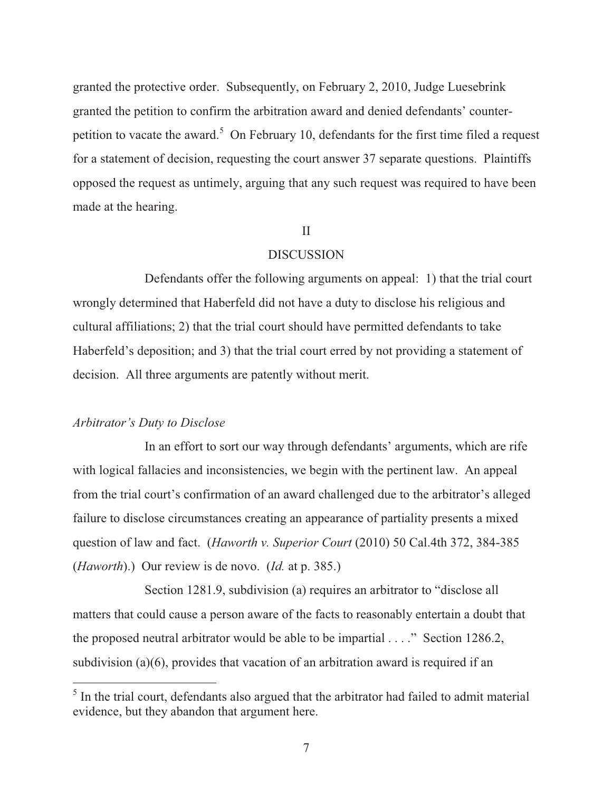granted the protective order. Subsequently, on February 2, 2010, Judge Luesebrink granted the petition to confirm the arbitration award and denied defendants' counterpetition to vacate the award.<sup>5</sup> On February 10, defendants for the first time filed a request for a statement of decision, requesting the court answer 37 separate questions. Plaintiffs opposed the request as untimely, arguing that any such request was required to have been made at the hearing.

#### II

#### **DISCUSSION**

 Defendants offer the following arguments on appeal: 1) that the trial court wrongly determined that Haberfeld did not have a duty to disclose his religious and cultural affiliations; 2) that the trial court should have permitted defendants to take Haberfeld's deposition; and 3) that the trial court erred by not providing a statement of decision. All three arguments are patently without merit.

#### *Arbitrator's Duty to Disclose*

 $\overline{a}$ 

In an effort to sort our way through defendants' arguments, which are rife with logical fallacies and inconsistencies, we begin with the pertinent law. An appeal from the trial court's confirmation of an award challenged due to the arbitrator's alleged failure to disclose circumstances creating an appearance of partiality presents a mixed question of law and fact. (*Haworth v. Superior Court* (2010) 50 Cal.4th 372, 384-385 (*Haworth*).) Our review is de novo. (*Id.* at p. 385.)

 Section 1281.9, subdivision (a) requires an arbitrator to "disclose all matters that could cause a person aware of the facts to reasonably entertain a doubt that the proposed neutral arbitrator would be able to be impartial . . . ." Section 1286.2, subdivision (a)(6), provides that vacation of an arbitration award is required if an

 $<sup>5</sup>$  In the trial court, defendants also argued that the arbitrator had failed to admit material</sup> evidence, but they abandon that argument here.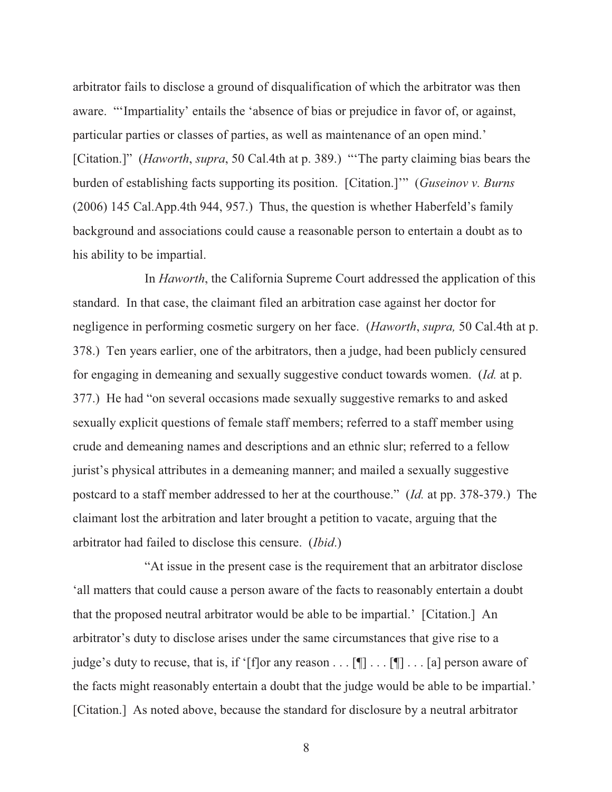arbitrator fails to disclose a ground of disqualification of which the arbitrator was then aware. "'Impartiality' entails the 'absence of bias or prejudice in favor of, or against, particular parties or classes of parties, as well as maintenance of an open mind.' [Citation.]" (*Haworth*, *supra*, 50 Cal.4th at p. 389.) "'The party claiming bias bears the burden of establishing facts supporting its position. [Citation.]'" (*Guseinov v. Burns* (2006) 145 Cal.App.4th 944, 957.) Thus, the question is whether Haberfeld's family background and associations could cause a reasonable person to entertain a doubt as to his ability to be impartial.

 In *Haworth*, the California Supreme Court addressed the application of this standard. In that case, the claimant filed an arbitration case against her doctor for negligence in performing cosmetic surgery on her face. (*Haworth*, *supra,* 50 Cal.4th at p. 378.) Ten years earlier, one of the arbitrators, then a judge, had been publicly censured for engaging in demeaning and sexually suggestive conduct towards women. (*Id.* at p. 377.) He had "on several occasions made sexually suggestive remarks to and asked sexually explicit questions of female staff members; referred to a staff member using crude and demeaning names and descriptions and an ethnic slur; referred to a fellow jurist's physical attributes in a demeaning manner; and mailed a sexually suggestive postcard to a staff member addressed to her at the courthouse." (*Id.* at pp. 378-379.) The claimant lost the arbitration and later brought a petition to vacate, arguing that the arbitrator had failed to disclose this censure. (*Ibid*.)

"At issue in the present case is the requirement that an arbitrator disclose 'all matters that could cause a person aware of the facts to reasonably entertain a doubt that the proposed neutral arbitrator would be able to be impartial.' [Citation.] An arbitrator's duty to disclose arises under the same circumstances that give rise to a judge's duty to recuse, that is, if '[f]or any reason  $\dots$  [[]]  $\dots$  [1] . . . [a] person aware of the facts might reasonably entertain a doubt that the judge would be able to be impartial.' [Citation.] As noted above, because the standard for disclosure by a neutral arbitrator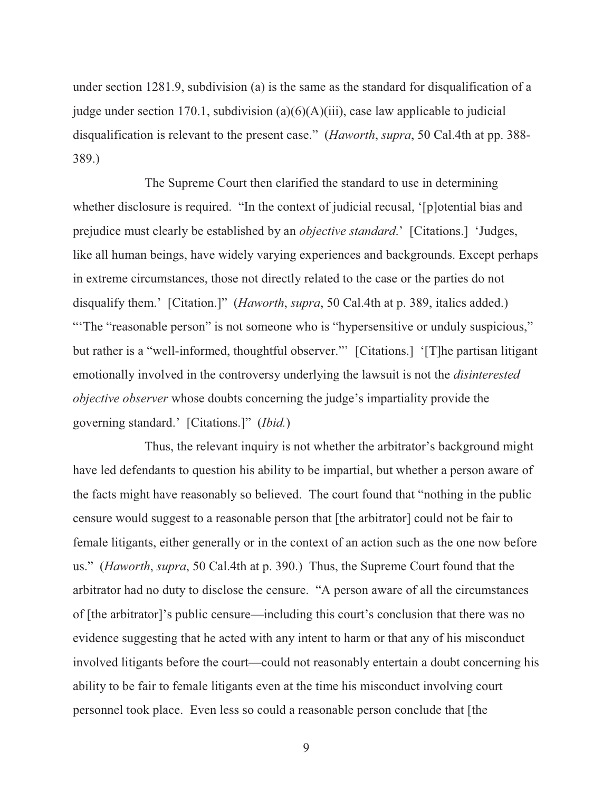under section 1281.9, subdivision (a) is the same as the standard for disqualification of a judge under section 170.1, subdivision  $(a)(6)(A)(iii)$ , case law applicable to judicial disqualification is relevant to the present case." (*Haworth*, *supra*, 50 Cal.4th at pp. 388- 389.)

 The Supreme Court then clarified the standard to use in determining whether disclosure is required. "In the context of judicial recusal, '[p]otential bias and prejudice must clearly be established by an *objective standard*.' [Citations.] 'Judges, like all human beings, have widely varying experiences and backgrounds. Except perhaps in extreme circumstances, those not directly related to the case or the parties do not disqualify them.' [Citation.]" (*Haworth*, *supra*, 50 Cal.4th at p. 389, italics added.) "The "reasonable person" is not someone who is "hypersensitive or unduly suspicious," but rather is a "well-informed, thoughtful observer."" [Citations.] '[T]he partisan litigant emotionally involved in the controversy underlying the lawsuit is not the *disinterested objective observer* whose doubts concerning the judge's impartiality provide the governing standard.' [Citations.]" (*Ibid.*)

Thus, the relevant inquiry is not whether the arbitrator's background might have led defendants to question his ability to be impartial, but whether a person aware of the facts might have reasonably so believed. The court found that "nothing in the public censure would suggest to a reasonable person that [the arbitrator] could not be fair to female litigants, either generally or in the context of an action such as the one now before us." (*Haworth*, *supra*, 50 Cal.4th at p. 390.) Thus, the Supreme Court found that the arbitrator had no duty to disclose the censure. "A person aware of all the circumstances of [the arbitrator]'s public censure—including this court's conclusion that there was no evidence suggesting that he acted with any intent to harm or that any of his misconduct involved litigants before the court—could not reasonably entertain a doubt concerning his ability to be fair to female litigants even at the time his misconduct involving court personnel took place. Even less so could a reasonable person conclude that [the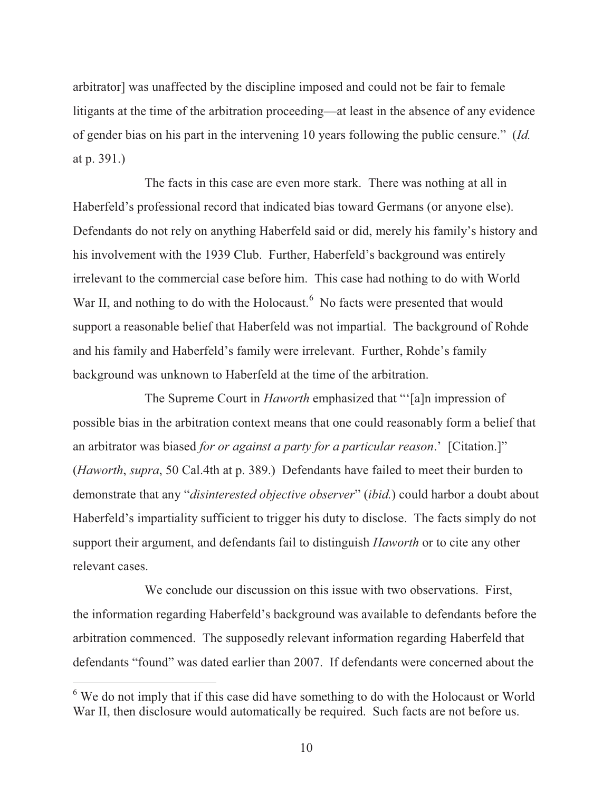arbitrator] was unaffected by the discipline imposed and could not be fair to female litigants at the time of the arbitration proceeding—at least in the absence of any evidence of gender bias on his part in the intervening 10 years following the public censure." (*Id.* at p. 391.)

 The facts in this case are even more stark. There was nothing at all in Haberfeld's professional record that indicated bias toward Germans (or anyone else). Defendants do not rely on anything Haberfeld said or did, merely his family's history and his involvement with the 1939 Club. Further, Haberfeld's background was entirely irrelevant to the commercial case before him. This case had nothing to do with World War II, and nothing to do with the Holocaust.<sup>6</sup> No facts were presented that would support a reasonable belief that Haberfeld was not impartial. The background of Rohde and his family and Haberfeld's family were irrelevant. Further, Rohde's family background was unknown to Haberfeld at the time of the arbitration.

 The Supreme Court in *Haworth* emphasized that "'[a]n impression of possible bias in the arbitration context means that one could reasonably form a belief that an arbitrator was biased *for or against a party for a particular reason*.' [Citation.]" (*Haworth*, *supra*, 50 Cal.4th at p. 389.) Defendants have failed to meet their burden to demonstrate that any "*disinterested objective observer*" (*ibid.*) could harbor a doubt about Haberfeld's impartiality sufficient to trigger his duty to disclose. The facts simply do not support their argument, and defendants fail to distinguish *Haworth* or to cite any other relevant cases.

 We conclude our discussion on this issue with two observations. First, the information regarding Haberfeld's background was available to defendants before the arbitration commenced. The supposedly relevant information regarding Haberfeld that defendants "found" was dated earlier than 2007. If defendants were concerned about the

<sup>&</sup>lt;sup>6</sup> We do not imply that if this case did have something to do with the Holocaust or World War II, then disclosure would automatically be required. Such facts are not before us.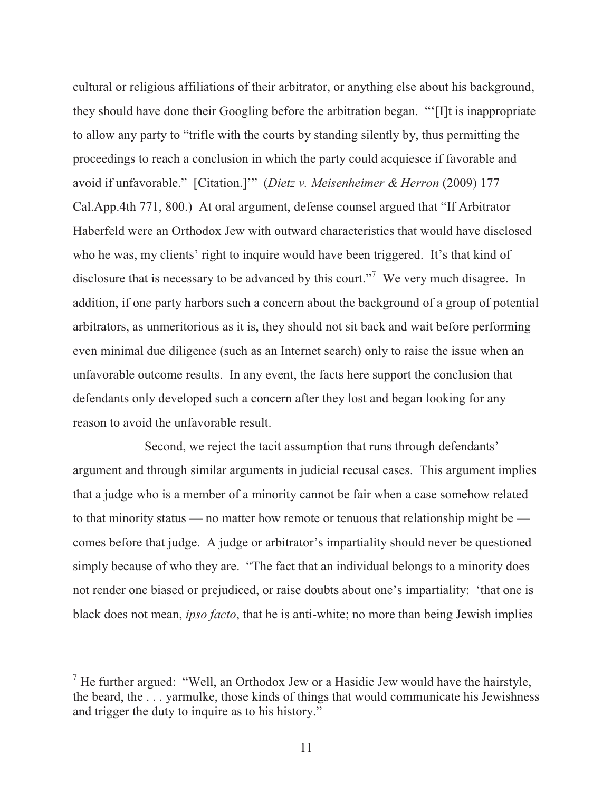cultural or religious affiliations of their arbitrator, or anything else about his background, they should have done their Googling before the arbitration began. "'[I]t is inappropriate to allow any party to "trifle with the courts by standing silently by, thus permitting the proceedings to reach a conclusion in which the party could acquiesce if favorable and avoid if unfavorable." [Citation.]'" (*Dietz v. Meisenheimer & Herron* (2009) 177 Cal.App.4th 771, 800.) At oral argument, defense counsel argued that "If Arbitrator Haberfeld were an Orthodox Jew with outward characteristics that would have disclosed who he was, my clients' right to inquire would have been triggered. It's that kind of disclosure that is necessary to be advanced by this court."<sup>7</sup> We very much disagree. In addition, if one party harbors such a concern about the background of a group of potential arbitrators, as unmeritorious as it is, they should not sit back and wait before performing even minimal due diligence (such as an Internet search) only to raise the issue when an unfavorable outcome results. In any event, the facts here support the conclusion that defendants only developed such a concern after they lost and began looking for any reason to avoid the unfavorable result.

Second, we reject the tacit assumption that runs through defendants' argument and through similar arguments in judicial recusal cases. This argument implies that a judge who is a member of a minority cannot be fair when a case somehow related to that minority status — no matter how remote or tenuous that relationship might be comes before that judge. A judge or arbitrator's impartiality should never be questioned simply because of who they are. "The fact that an individual belongs to a minority does not render one biased or prejudiced, or raise doubts about one's impartiality: 'that one is black does not mean, *ipso facto*, that he is anti-white; no more than being Jewish implies

 $<sup>7</sup>$  He further argued: "Well, an Orthodox Jew or a Hasidic Jew would have the hairstyle,</sup> the beard, the . . . yarmulke, those kinds of things that would communicate his Jewishness and trigger the duty to inquire as to his history."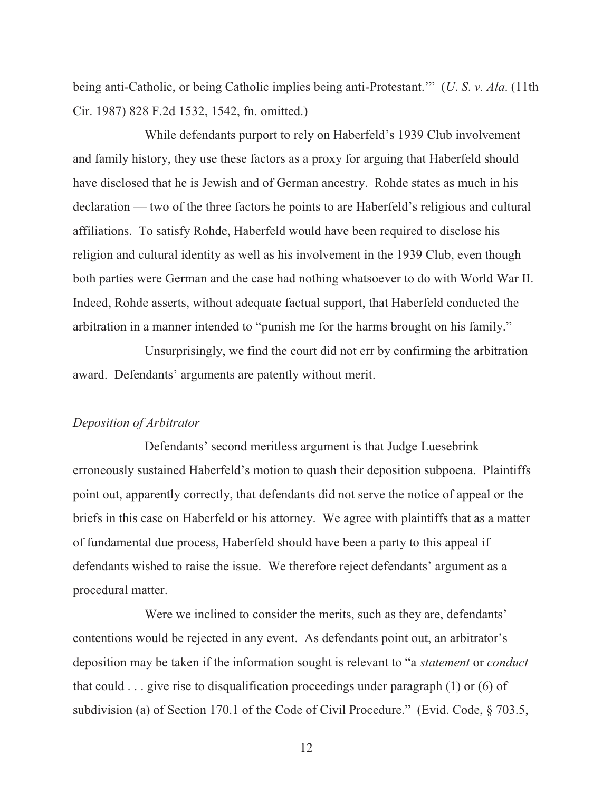being anti-Catholic, or being Catholic implies being anti-Protestant.'" (*U*. *S*. *v. Ala*. (11th Cir. 1987) 828 F.2d 1532, 1542, fn. omitted.)

While defendants purport to rely on Haberfeld's 1939 Club involvement and family history, they use these factors as a proxy for arguing that Haberfeld should have disclosed that he is Jewish and of German ancestry. Rohde states as much in his declaration — two of the three factors he points to are Haberfeld's religious and cultural affiliations. To satisfy Rohde, Haberfeld would have been required to disclose his religion and cultural identity as well as his involvement in the 1939 Club, even though both parties were German and the case had nothing whatsoever to do with World War II. Indeed, Rohde asserts, without adequate factual support, that Haberfeld conducted the arbitration in a manner intended to "punish me for the harms brought on his family."

 Unsurprisingly, we find the court did not err by confirming the arbitration award. Defendants' arguments are patently without merit.

#### *Deposition of Arbitrator*

Defendants' second meritless argument is that Judge Luesebrink erroneously sustained Haberfeld's motion to quash their deposition subpoena. Plaintiffs point out, apparently correctly, that defendants did not serve the notice of appeal or the briefs in this case on Haberfeld or his attorney. We agree with plaintiffs that as a matter of fundamental due process, Haberfeld should have been a party to this appeal if defendants wished to raise the issue. We therefore reject defendants' argument as a procedural matter.

Were we inclined to consider the merits, such as they are, defendants' contentions would be rejected in any event. As defendants point out, an arbitrator's deposition may be taken if the information sought is relevant to "a *statement* or *conduct* that could  $\ldots$  give rise to disqualification proceedings under paragraph (1) or (6) of subdivision (a) of Section 170.1 of the Code of Civil Procedure." (Evid. Code, § 703.5,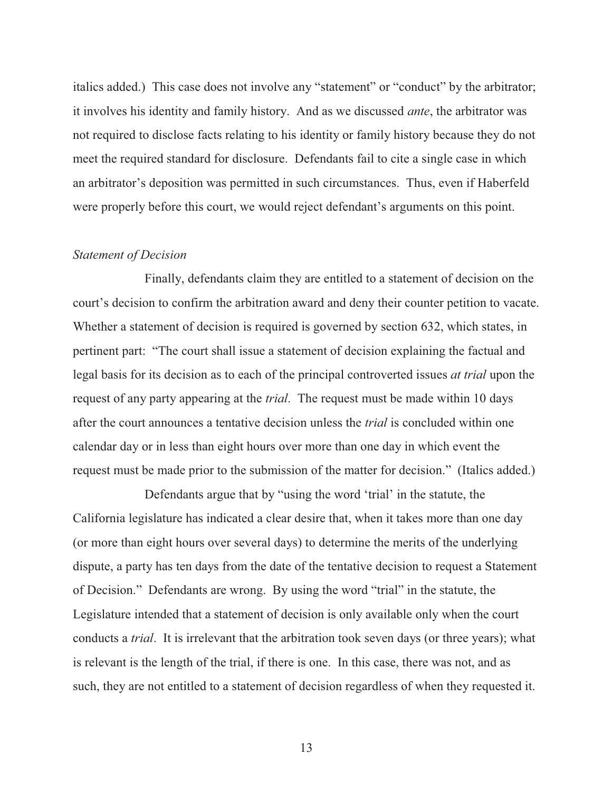italics added.) This case does not involve any "statement" or "conduct" by the arbitrator; it involves his identity and family history. And as we discussed *ante*, the arbitrator was not required to disclose facts relating to his identity or family history because they do not meet the required standard for disclosure. Defendants fail to cite a single case in which an arbitrator's deposition was permitted in such circumstances. Thus, even if Haberfeld were properly before this court, we would reject defendant's arguments on this point.

#### *Statement of Decision*

 Finally, defendants claim they are entitled to a statement of decision on the court's decision to confirm the arbitration award and deny their counter petition to vacate. Whether a statement of decision is required is governed by section 632, which states, in pertinent part: "The court shall issue a statement of decision explaining the factual and legal basis for its decision as to each of the principal controverted issues *at trial* upon the request of any party appearing at the *trial*. The request must be made within 10 days after the court announces a tentative decision unless the *trial* is concluded within one calendar day or in less than eight hours over more than one day in which event the request must be made prior to the submission of the matter for decision." (Italics added.)

Defendants argue that by "using the word 'trial' in the statute, the California legislature has indicated a clear desire that, when it takes more than one day (or more than eight hours over several days) to determine the merits of the underlying dispute, a party has ten days from the date of the tentative decision to request a Statement of Decision." Defendants are wrong. By using the word "trial" in the statute, the Legislature intended that a statement of decision is only available only when the court conducts a *trial*. It is irrelevant that the arbitration took seven days (or three years); what is relevant is the length of the trial, if there is one. In this case, there was not, and as such, they are not entitled to a statement of decision regardless of when they requested it.